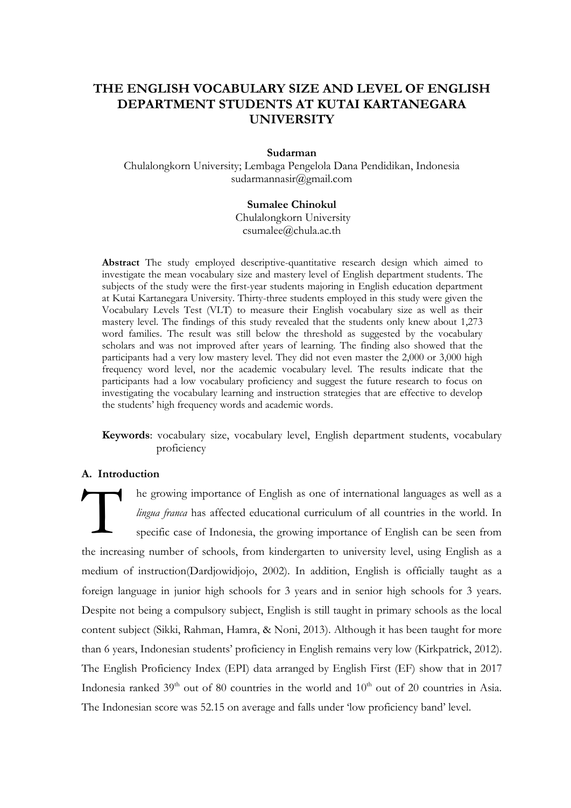# **THE ENGLISH VOCABULARY SIZE AND LEVEL OF ENGLISH DEPARTMENT STUDENTS AT KUTAI KARTANEGARA UNIVERSITY**

### **Sudarman**

Chulalongkorn University; Lembaga Pengelola Dana Pendidikan, Indonesia [sudarmannasir@gmail.com](mailto:sudarmannasir@gmail.com)

# **Sumalee Chinokul**

[Chulalongkorn University](mailto:csumalee@chula.ac.th) [csumalee@chula.ac.th](mailto:csumalee@chula.ac.th)

**Abstract** The study employed descriptive-quantitative research design which aimed to investigate the mean vocabulary size and mastery level of English department students. The subjects of the study were the first-year students majoring in English education department at Kutai Kartanegara University. Thirty-three students employed in this study were given the Vocabulary Levels Test (VLT) to measure their English vocabulary size as well as their mastery level. The findings of this study revealed that the students only knew about 1,273 word families. The result was still below the threshold as suggested by the vocabulary scholars and was not improved after years of learning. The finding also showed that the participants had a very low mastery level. They did not even master the 2,000 or 3,000 high frequency word level, nor the academic vocabulary level. The results indicate that the participants had a low vocabulary proficiency and suggest the future research to focus on investigating the vocabulary learning and instruction strategies that are effective to develop the students' high frequency words and academic words.

**Keywords**: vocabulary size, vocabulary level, English department students, vocabulary proficiency

### **A. Introduction**

he growing importance of English as one of international languages as well as a *lingua franca* has affected educational curriculum of all countries in the world. In specific case of Indonesia, the growing importance of English can be seen from the increasing number of schools, from kindergarten to university level, using English as a medium of instruction[\(Dardjowidjojo, 2002\)](#page-12-0). In addition, English is officially taught as a foreign language in junior high schools for 3 years and in senior high schools for 3 years. Despite not being a compulsory subject, English is still taught in primary schools as the local content subject [\(Sikki, Rahman, Hamra, & Noni, 2013\)](#page-14-0). Although it has been taught for more than 6 years, Indonesian students" proficiency in English remains very low [\(Kirkpatrick, 2012\)](#page-12-1). The English Proficiency Index (EPI) data arranged by English First (EF) show that in 2017 Indonesia ranked  $39<sup>th</sup>$  out of 80 countries in the world and  $10<sup>th</sup>$  out of 20 countries in Asia. The Indonesian score was 52.15 on average and falls under "low proficiency band" level. T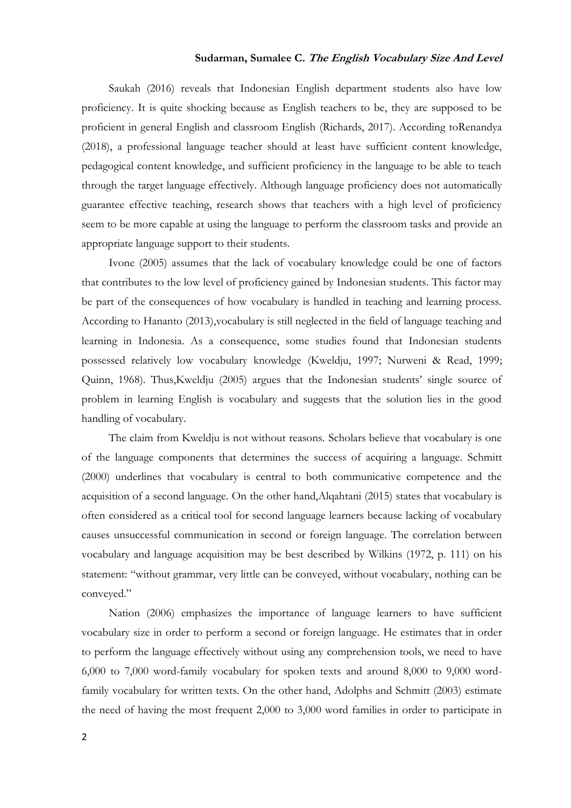# **Sudarman, Sumalee C. The English Vocabulary Size And Level**

[Saukah \(2016\)](#page-14-1) reveals that Indonesian English department students also have low proficiency. It is quite shocking because as English teachers to be, they are supposed to be proficient in general English and classroom English [\(Richards, 2017\)](#page-14-2). According t[oRenandya](#page-13-0)  (2018), a professional language teacher should at least have sufficient content knowledge, pedagogical content knowledge, and sufficient proficiency in the language to be able to teach through the target language effectively. Although language proficiency does not automatically guarantee effective teaching, research shows that teachers with a high level of proficiency seem to be more capable at using the language to perform the classroom tasks and provide an appropriate language support to their students.

[Ivone \(2005\)](#page-12-2) assumes that the lack of vocabulary knowledge could be one of factors that contributes to the low level of proficiency gained by Indonesian students. This factor may be part of the consequences of how vocabulary is handled in teaching and learning process. According to [Hananto \(2013\),](#page-12-3)vocabulary is still neglected in the field of language teaching and learning in Indonesia. As a consequence, some studies found that Indonesian students possessed relatively low vocabulary knowledge [\(Kweldju, 1997;](#page-13-1) [Nurweni & Read, 1999;](#page-13-2) [Quinn, 1968\)](#page-13-3). Thu[s,Kweldju \(2005\)](#page-13-4) argues that the Indonesian students" single source of problem in learning English is vocabulary and suggests that the solution lies in the good handling of vocabulary.

The claim from Kweldju is not without reasons. Scholars believe that vocabulary is one of the language components that determines the success of acquiring a language. [Schmitt](#page-14-3)  (2000) underlines that vocabulary is central to both communicative competence and the acquisition of a second language. On the other hand[,Alqahtani \(2015\)](#page-12-4) states that vocabulary is often considered as a critical tool for second language learners because lacking of vocabulary causes unsuccessful communication in second or foreign language. The correlation between vocabulary and language acquisition may be best described by [Wilkins \(1972, p. 111\)](#page-14-4) on his statement: "without grammar, very little can be conveyed, without vocabulary, nothing can be conveyed."

[Nation \(2006\)](#page-13-5) emphasizes the importance of language learners to have sufficient vocabulary size in order to perform a second or foreign language. He estimates that in order to perform the language effectively without using any comprehension tools, we need to have 6,000 to 7,000 word-family vocabulary for spoken texts and around 8,000 to 9,000 wordfamily vocabulary for written texts. On the other hand, [Adolphs and Schmitt \(2003\)](#page-12-5) estimate the need of having the most frequent 2,000 to 3,000 word families in order to participate in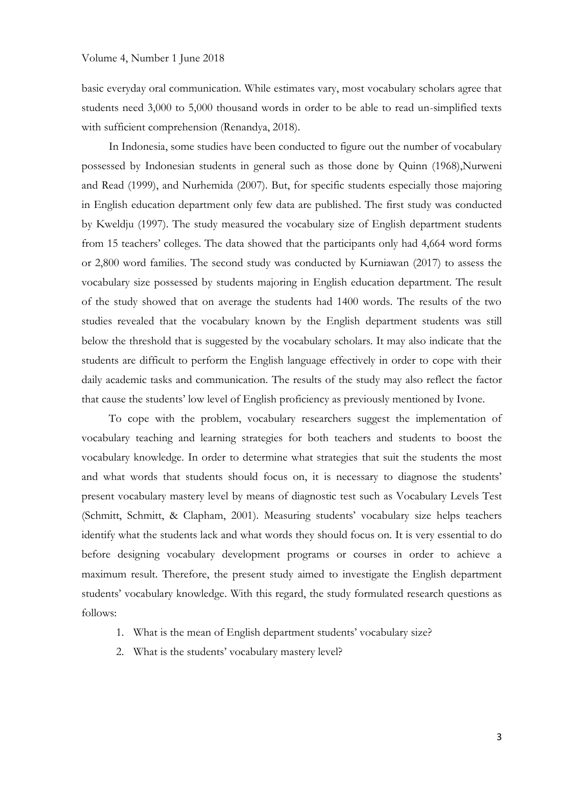basic everyday oral communication. While estimates vary, most vocabulary scholars agree that students need 3,000 to 5,000 thousand words in order to be able to read un-simplified texts with sufficient comprehension [\(Renandya, 2018\)](#page-13-0).

In Indonesia, some studies have been conducted to figure out the number of vocabulary possessed by Indonesian students in general such as those done by [Quinn \(1968\)](#page-13-3)[,Nurweni](#page-13-2)  and Read (1999), and [Nurhemida \(2007\).](#page-13-6) But, for specific students especially those majoring in English education department only few data are published. The first study was conducted by [Kweldju \(1997\).](#page-13-1) The study measured the vocabulary size of English department students from 15 teachers' colleges. The data showed that the participants only had 4,664 word forms or 2,800 word families. The second study was conducted by [Kurniawan \(2017\)](#page-12-6) to assess the vocabulary size possessed by students majoring in English education department. The result of the study showed that on average the students had 1400 words. The results of the two studies revealed that the vocabulary known by the English department students was still below the threshold that is suggested by the vocabulary scholars. It may also indicate that the students are difficult to perform the English language effectively in order to cope with their daily academic tasks and communication. The results of the study may also reflect the factor that cause the students" low level of English proficiency as previously mentioned by Ivone.

To cope with the problem, vocabulary researchers suggest the implementation of vocabulary teaching and learning strategies for both teachers and students to boost the vocabulary knowledge. In order to determine what strategies that suit the students the most and what words that students should focus on, it is necessary to diagnose the students' present vocabulary mastery level by means of diagnostic test such as Vocabulary Levels Test [\(Schmitt, Schmitt, & Clapham, 2001\)](#page-14-5). Measuring students" vocabulary size helps teachers identify what the students lack and what words they should focus on. It is very essential to do before designing vocabulary development programs or courses in order to achieve a maximum result. Therefore, the present study aimed to investigate the English department students" vocabulary knowledge. With this regard, the study formulated research questions as follows:

- 1. What is the mean of English department students' vocabulary size?
- 2. What is the students' vocabulary mastery level?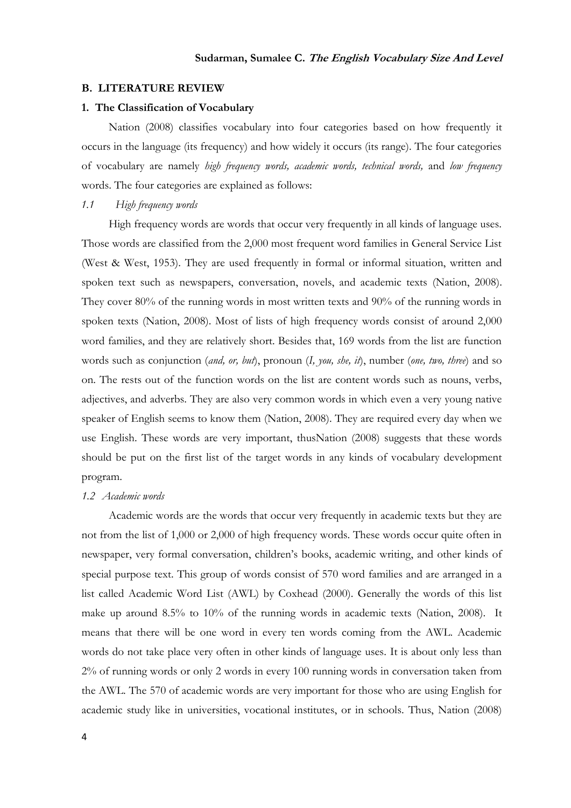### **B. LITERATURE REVIEW**

#### **1. The Classification of Vocabulary**

[Nation \(2008\)](#page-13-7) classifies vocabulary into four categories based on how frequently it occurs in the language (its frequency) and how widely it occurs (its range). The four categories of vocabulary are namely *high frequency words, academic words, technical words,* and *low frequency*  words. The four categories are explained as follows:

# *1.1 High frequency words*

High frequency words are words that occur very frequently in all kinds of language uses. Those words are classified from the 2,000 most frequent word families in General Service List [\(West & West, 1953\)](#page-14-6). They are used frequently in formal or informal situation, written and spoken text such as newspapers, conversation, novels, and academic texts [\(Nation, 2008\)](#page-13-7). They cover 80% of the running words in most written texts and 90% of the running words in spoken texts [\(Nation, 2008\)](#page-13-7). Most of lists of high frequency words consist of around 2,000 word families, and they are relatively short. Besides that, 169 words from the list are function words such as conjunction (*and, or, but*), pronoun (*I, you, she, it*), number (*one, two, three*) and so on. The rests out of the function words on the list are content words such as nouns, verbs, adjectives, and adverbs. They are also very common words in which even a very young native speaker of English seems to know them [\(Nation, 2008\)](#page-13-7). They are required every day when we use English. These words are very important, thu[sNation \(2008\)](#page-13-7) suggests that these words should be put on the first list of the target words in any kinds of vocabulary development program.

#### *1.2 Academic words*

Academic words are the words that occur very frequently in academic texts but they are not from the list of 1,000 or 2,000 of high frequency words. These words occur quite often in newspaper, very formal conversation, children"s books, academic writing, and other kinds of special purpose text. This group of words consist of 570 word families and are arranged in a list called Academic Word List (AWL) by [Coxhead \(2000\).](#page-12-7) Generally the words of this list make up around 8.5% to 10% of the running words in academic texts [\(Nation, 2008\)](#page-13-7). It means that there will be one word in every ten words coming from the AWL. Academic words do not take place very often in other kinds of language uses. It is about only less than 2% of running words or only 2 words in every 100 running words in conversation taken from the AWL. The 570 of academic words are very important for those who are using English for academic study like in universities, vocational institutes, or in schools. Thus, [Nation \(2008\)](#page-13-7)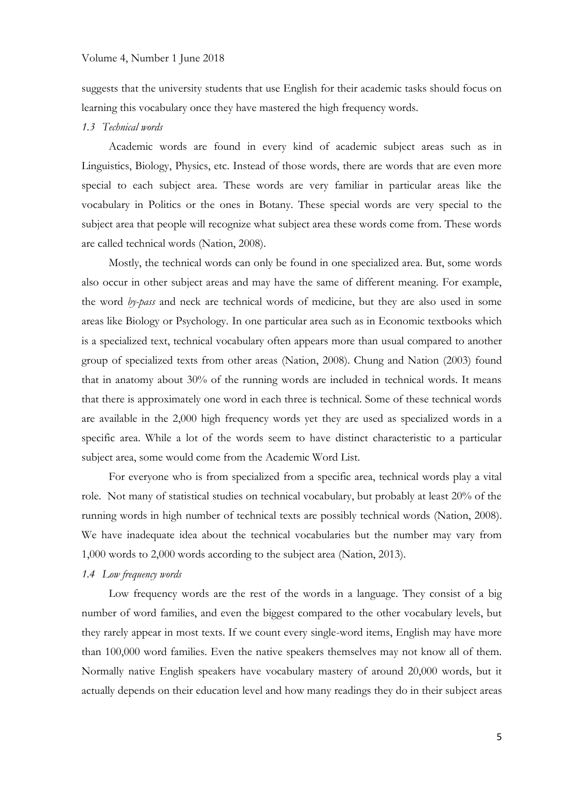#### Volume 4, Number 1 June 2018

suggests that the university students that use English for their academic tasks should focus on learning this vocabulary once they have mastered the high frequency words.

#### *1.3 Technical words*

Academic words are found in every kind of academic subject areas such as in Linguistics, Biology, Physics, etc. Instead of those words, there are words that are even more special to each subject area. These words are very familiar in particular areas like the vocabulary in Politics or the ones in Botany. These special words are very special to the subject area that people will recognize what subject area these words come from. These words are called technical words [\(Nation, 2008\)](#page-13-7).

Mostly, the technical words can only be found in one specialized area. But, some words also occur in other subject areas and may have the same of different meaning. For example, the word *by-pass* and neck are technical words of medicine, but they are also used in some areas like Biology or Psychology. In one particular area such as in Economic textbooks which is a specialized text, technical vocabulary often appears more than usual compared to another group of specialized texts from other areas [\(Nation, 2008\)](#page-13-7). [Chung and Nation \(2003\)](#page-12-8) found that in anatomy about 30% of the running words are included in technical words. It means that there is approximately one word in each three is technical. Some of these technical words are available in the 2,000 high frequency words yet they are used as specialized words in a specific area. While a lot of the words seem to have distinct characteristic to a particular subject area, some would come from the Academic Word List.

For everyone who is from specialized from a specific area, technical words play a vital role. Not many of statistical studies on technical vocabulary, but probably at least 20% of the running words in high number of technical texts are possibly technical words [\(Nation, 2008\)](#page-13-7). We have inadequate idea about the technical vocabularies but the number may vary from 1,000 words to 2,000 words according to the subject area [\(Nation, 2013\)](#page-13-8).

### *1.4 Low frequency words*

Low frequency words are the rest of the words in a language. They consist of a big number of word families, and even the biggest compared to the other vocabulary levels, but they rarely appear in most texts. If we count every single-word items, English may have more than 100,000 word families. Even the native speakers themselves may not know all of them. Normally native English speakers have vocabulary mastery of around 20,000 words, but it actually depends on their education level and how many readings they do in their subject areas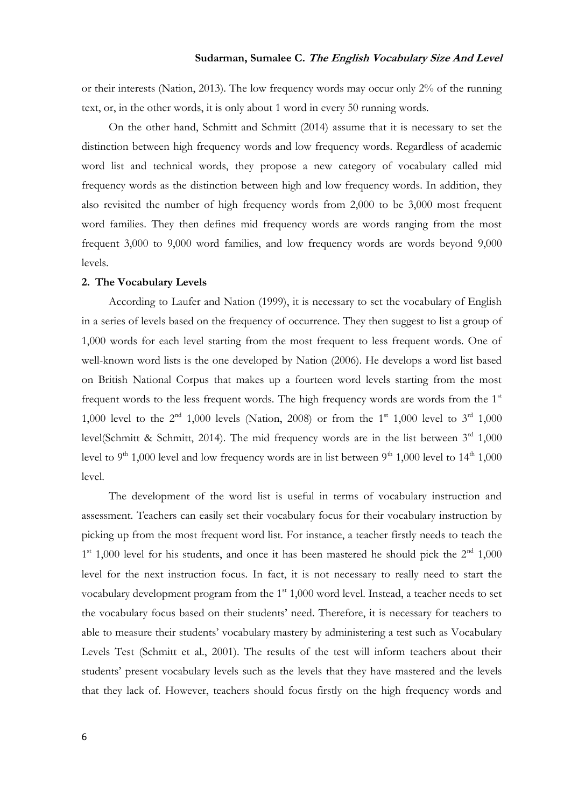or their interests [\(Nation, 2013\)](#page-13-8). The low frequency words may occur only 2% of the running text, or, in the other words, it is only about 1 word in every 50 running words.

On the other hand, [Schmitt and Schmitt \(2014\)](#page-14-7) assume that it is necessary to set the distinction between high frequency words and low frequency words. Regardless of academic word list and technical words, they propose a new category of vocabulary called mid frequency words as the distinction between high and low frequency words. In addition, they also revisited the number of high frequency words from 2,000 to be 3,000 most frequent word families. They then defines mid frequency words are words ranging from the most frequent 3,000 to 9,000 word families, and low frequency words are words beyond 9,000 levels.

### **2. The Vocabulary Levels**

According to [Laufer and Nation \(1999\),](#page-13-9) it is necessary to set the vocabulary of English in a series of levels based on the frequency of occurrence. They then suggest to list a group of 1,000 words for each level starting from the most frequent to less frequent words. One of well-known word lists is the one developed by [Nation \(2006\).](#page-13-5) He develops a word list based on British National Corpus that makes up a fourteen word levels starting from the most frequent words to the less frequent words. The high frequency words are words from the  $1<sup>st</sup>$ 1,000 level to the  $2^{nd}$  1,000 levels [\(Nation, 2008\)](#page-13-7) or from the 1<sup>st</sup> 1,000 level to  $3^{rd}$  1,000 level[\(Schmitt & Schmitt, 2014\)](#page-14-7). The mid frequency words are in the list between  $3<sup>rd</sup> 1,000$ level to 9<sup>th</sup> 1,000 level and low frequency words are in list between 9<sup>th</sup> 1,000 level to 14<sup>th</sup> 1,000 level.

The development of the word list is useful in terms of vocabulary instruction and assessment. Teachers can easily set their vocabulary focus for their vocabulary instruction by picking up from the most frequent word list. For instance, a teacher firstly needs to teach the  $1<sup>st</sup>$  1,000 level for his students, and once it has been mastered he should pick the  $2<sup>nd</sup>$  1,000 level for the next instruction focus. In fact, it is not necessary to really need to start the vocabulary development program from the 1<sup>st</sup> 1,000 word level. Instead, a teacher needs to set the vocabulary focus based on their students' need. Therefore, it is necessary for teachers to able to measure their students" vocabulary mastery by administering a test such as Vocabulary Levels Test [\(Schmitt et al., 2001\)](#page-14-5). The results of the test will inform teachers about their students" present vocabulary levels such as the levels that they have mastered and the levels that they lack of. However, teachers should focus firstly on the high frequency words and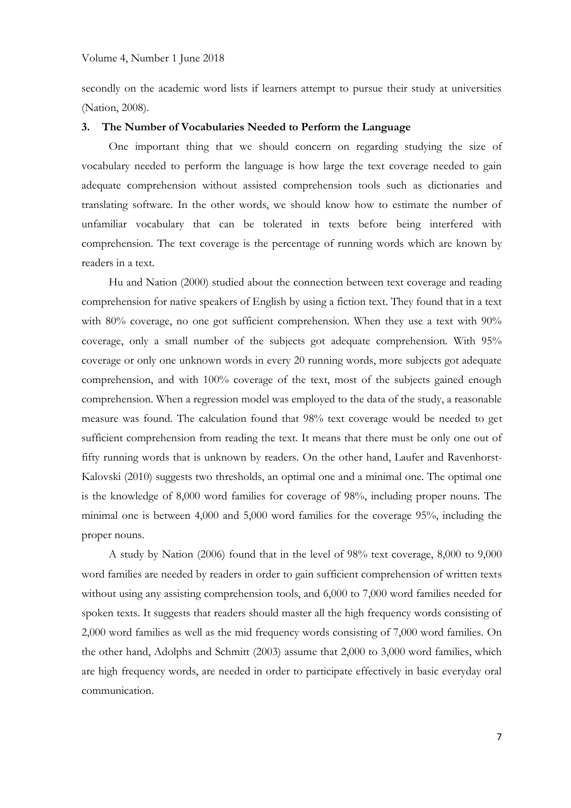#### Volume 4, Number 1 June 2018

secondly on the academic word lists if learners attempt to pursue their study at universities [\(Nation, 2008\)](#page-13-7).

### **3. The Number of Vocabularies Needed to Perform the Language**

One important thing that we should concern on regarding studying the size of vocabulary needed to perform the language is how large the text coverage needed to gain adequate comprehension without assisted comprehension tools such as dictionaries and translating software. In the other words, we should know how to estimate the number of unfamiliar vocabulary that can be tolerated in texts before being interfered with comprehension. The text coverage is the percentage of running words which are known by readers in a text.

[Hu and Nation \(2000\)](#page-12-9) studied about the connection between text coverage and reading comprehension for native speakers of English by using a fiction text. They found that in a text with 80% coverage, no one got sufficient comprehension. When they use a text with 90% coverage, only a small number of the subjects got adequate comprehension. With 95% coverage or only one unknown words in every 20 running words, more subjects got adequate comprehension, and with 100% coverage of the text, most of the subjects gained enough comprehension. When a regression model was employed to the data of the study, a reasonable measure was found. The calculation found that 98% text coverage would be needed to get sufficient comprehension from reading the text. It means that there must be only one out of fifty running words that is unknown by readers. On the other hand, [Laufer and Ravenhorst-](#page-13-10)Kalovski (2010) suggests two thresholds, an optimal one and a minimal one. The optimal one is the knowledge of 8,000 word families for coverage of 98%, including proper nouns. The minimal one is between 4,000 and 5,000 word families for the coverage 95%, including the proper nouns.

A study by [Nation \(2006\)](#page-13-5) found that in the level of 98% text coverage, 8,000 to 9,000 word families are needed by readers in order to gain sufficient comprehension of written texts without using any assisting comprehension tools, and 6,000 to 7,000 word families needed for spoken texts. It suggests that readers should master all the high frequency words consisting of 2,000 word families as well as the mid frequency words consisting of 7,000 word families. On the other hand, [Adolphs and Schmitt \(2003\)](#page-12-5) assume that 2,000 to 3,000 word families, which are high frequency words, are needed in order to participate effectively in basic everyday oral communication.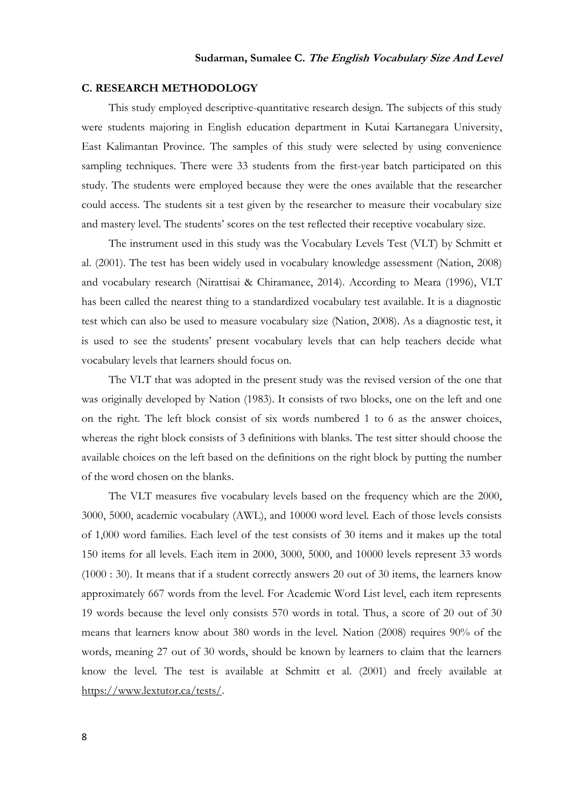## **C. RESEARCH METHODOLOGY**

This study employed descriptive-quantitative research design. The subjects of this study were students majoring in English education department in Kutai Kartanegara University, East Kalimantan Province. The samples of this study were selected by using convenience sampling techniques. There were 33 students from the first-year batch participated on this study. The students were employed because they were the ones available that the researcher could access. The students sit a test given by the researcher to measure their vocabulary size and mastery level. The students' scores on the test reflected their receptive vocabulary size.

The instrument used in this study was the Vocabulary Levels Test (VLT) by [Schmitt et](#page-14-5)  al. (2001). The test has been widely used in vocabulary knowledge assessment [\(Nation, 2008\)](#page-13-7) and vocabulary research [\(Nirattisai & Chiramanee, 2014\)](#page-13-11). According to [Meara \(1996\),](#page-13-12) VLT has been called the nearest thing to a standardized vocabulary test available. It is a diagnostic test which can also be used to measure vocabulary size [\(Nation, 2008\)](#page-13-7). As a diagnostic test, it is used to see the students' present vocabulary levels that can help teachers decide what vocabulary levels that learners should focus on.

The VLT that was adopted in the present study was the revised version of the one that was originally developed by [Nation \(1983\).](#page-13-13) It consists of two blocks, one on the left and one on the right. The left block consist of six words numbered 1 to 6 as the answer choices, whereas the right block consists of 3 definitions with blanks. The test sitter should choose the available choices on the left based on the definitions on the right block by putting the number of the word chosen on the blanks.

The VLT measures five vocabulary levels based on the frequency which are the 2000, 3000, 5000, academic vocabulary (AWL), and 10000 word level. Each of those levels consists of 1,000 word families. Each level of the test consists of 30 items and it makes up the total 150 items for all levels. Each item in 2000, 3000, 5000, and 10000 levels represent 33 words (1000 : 30). It means that if a student correctly answers 20 out of 30 items, the learners know approximately 667 words from the level. For Academic Word List level, each item represents 19 words because the level only consists 570 words in total. Thus, a score of 20 out of 30 means that learners know about 380 words in the level. [Nation \(2008\)](#page-13-7) requires 90% of the words, meaning 27 out of 30 words, should be known by learners to claim that the learners know the level. The test is available at [Schmitt et al. \(2001\)](#page-14-5) and freely available at [https://www.lextutor.ca/tests/.](https://www.lextutor.ca/tests/)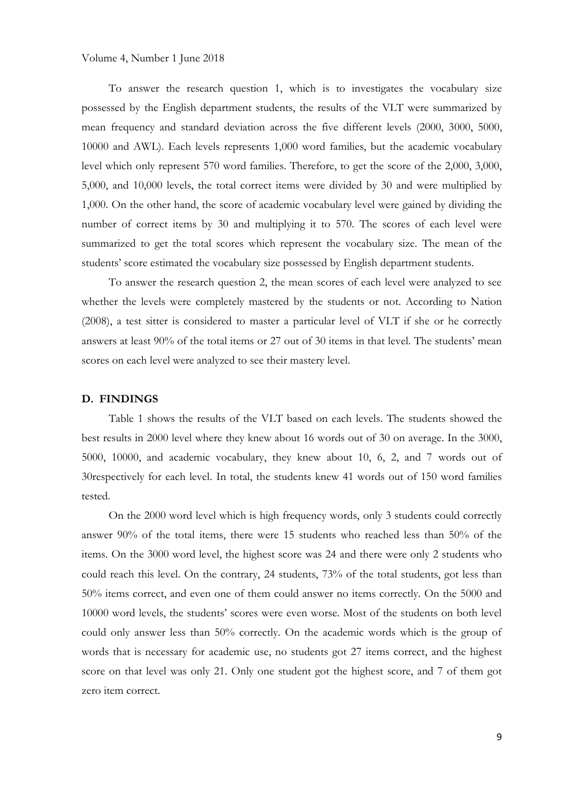To answer the research question 1, which is to investigates the vocabulary size possessed by the English department students, the results of the VLT were summarized by mean frequency and standard deviation across the five different levels (2000, 3000, 5000, 10000 and AWL). Each levels represents 1,000 word families, but the academic vocabulary level which only represent 570 word families. Therefore, to get the score of the 2,000, 3,000, 5,000, and 10,000 levels, the total correct items were divided by 30 and were multiplied by 1,000. On the other hand, the score of academic vocabulary level were gained by dividing the number of correct items by 30 and multiplying it to 570. The scores of each level were summarized to get the total scores which represent the vocabulary size. The mean of the students" score estimated the vocabulary size possessed by English department students.

To answer the research question 2, the mean scores of each level were analyzed to see whether the levels were completely mastered by the students or not. According to [Nation](#page-13-7)  (2008), a test sitter is considered to master a particular level of VLT if she or he correctly answers at least 90% of the total items or 27 out of 30 items in that level. The students' mean scores on each level were analyzed to see their mastery level.

#### **D. FINDINGS**

Table 1 shows the results of the VLT based on each levels. The students showed the best results in 2000 level where they knew about 16 words out of 30 on average. In the 3000, 5000, 10000, and academic vocabulary, they knew about 10, 6, 2, and 7 words out of 30respectively for each level. In total, the students knew 41 words out of 150 word families tested.

On the 2000 word level which is high frequency words, only 3 students could correctly answer 90% of the total items, there were 15 students who reached less than 50% of the items. On the 3000 word level, the highest score was 24 and there were only 2 students who could reach this level. On the contrary, 24 students, 73% of the total students, got less than 50% items correct, and even one of them could answer no items correctly. On the 5000 and 10000 word levels, the students" scores were even worse. Most of the students on both level could only answer less than 50% correctly. On the academic words which is the group of words that is necessary for academic use, no students got 27 items correct, and the highest score on that level was only 21. Only one student got the highest score, and 7 of them got zero item correct.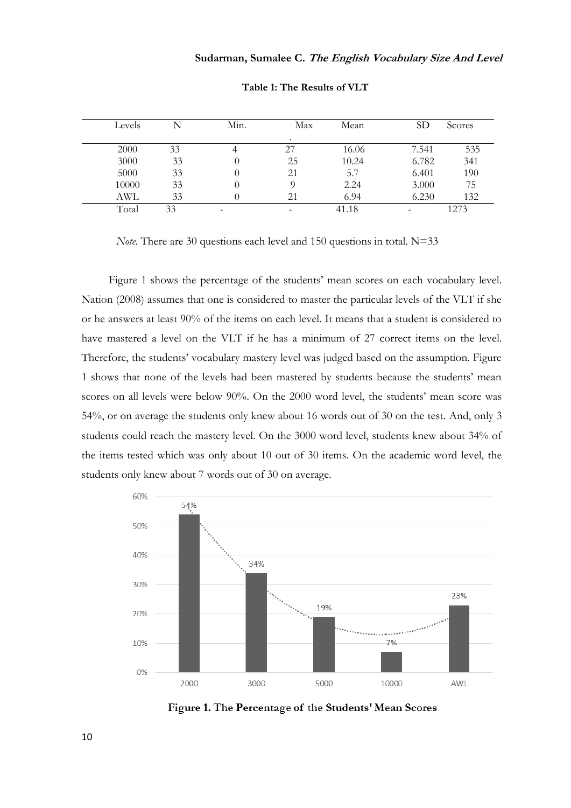| Levels |    | Min. | Max       | Mean  | SD    | Scores |
|--------|----|------|-----------|-------|-------|--------|
|        |    |      | $\bullet$ |       |       |        |
| 2000   | 33 |      | 27        | 16.06 | 7.541 | 535    |
| 3000   | 33 |      | 25        | 10.24 | 6.782 | 341    |
| 5000   | 33 |      | 21        | 5.7   | 6.401 | 190    |
| 10000  | 33 |      |           | 2.24  | 3.000 | 75     |
| AWL    | 33 |      | 21        | 6.94  | 6.230 | 132    |
| Total  | 33 |      |           | 41.18 |       | 273    |

**Table 1: The Results of VLT**

*Note*. There are 30 questions each level and 150 questions in total. N=33

Figure 1 shows the percentage of the students' mean scores on each vocabulary level. [Nation \(2008\)](#page-13-7) assumes that one is considered to master the particular levels of the VLT if she or he answers at least 90% of the items on each level. It means that a student is considered to have mastered a level on the VLT if he has a minimum of 27 correct items on the level. Therefore, the students" vocabulary mastery level was judged based on the assumption. Figure 1 shows that none of the levels had been mastered by students because the students" mean scores on all levels were below 90%. On the 2000 word level, the students' mean score was 54%, or on average the students only knew about 16 words out of 30 on the test. And, only 3 students could reach the mastery level. On the 3000 word level, students knew about 34% of the items tested which was only about 10 out of 30 items. On the academic word level, the students only knew about 7 words out of 30 on average.



Figure 1. The Percentage of the Students' Mean Scores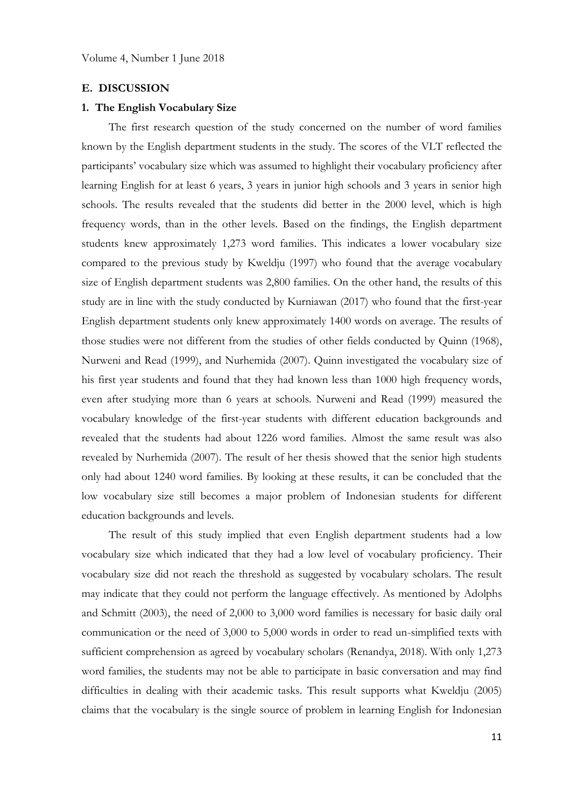#### **E. DISCUSSION**

#### **1. The English Vocabulary Size**

The first research question of the study concerned on the number of word families known by the English department students in the study. The scores of the VLT reflected the participants" vocabulary size which was assumed to highlight their vocabulary proficiency after learning English for at least 6 years, 3 years in junior high schools and 3 years in senior high schools. The results revealed that the students did better in the 2000 level, which is high frequency words, than in the other levels. Based on the findings, the English department students knew approximately 1,273 word families. This indicates a lower vocabulary size compared to the previous study by [Kweldju \(1997\)](#page-13-1) who found that the average vocabulary size of English department students was 2,800 families. On the other hand, the results of this study are in line with the study conducted by [Kurniawan \(2017\)](#page-12-6) who found that the first-year English department students only knew approximately 1400 words on average. The results of those studies were not different from the studies of other fields conducted by [Quinn \(1968\),](#page-13-3) [Nurweni and Read \(1999\),](#page-13-2) and [Nurhemida \(2007\).](#page-13-6) Quinn investigated the vocabulary size of his first year students and found that they had known less than 1000 high frequency words, even after studying more than 6 years at schools. [Nurweni and Read \(1999\)](#page-13-2) measured the vocabulary knowledge of the first-year students with different education backgrounds and revealed that the students had about 1226 word families. Almost the same result was also revealed by [Nurhemida \(2007\).](#page-13-6) The result of her thesis showed that the senior high students only had about 1240 word families. By looking at these results, it can be concluded that the low vocabulary size still becomes a major problem of Indonesian students for different education backgrounds and levels.

The result of this study implied that even English department students had a low vocabulary size which indicated that they had a low level of vocabulary proficiency. Their vocabulary size did not reach the threshold as suggested by vocabulary scholars. The result may indicate that they could not perform the language effectively. As mentioned by [Adolphs](#page-12-5)  and Schmitt (2003), the need of 2,000 to 3,000 word families is necessary for basic daily oral communication or the need of 3,000 to 5,000 words in order to read un-simplified texts with sufficient comprehension as agreed by vocabulary scholars [\(Renandya, 2018\)](#page-13-0). With only 1,273 word families, the students may not be able to participate in basic conversation and may find difficulties in dealing with their academic tasks. This result supports what [Kweldju \(2005\)](#page-13-4) claims that the vocabulary is the single source of problem in learning English for Indonesian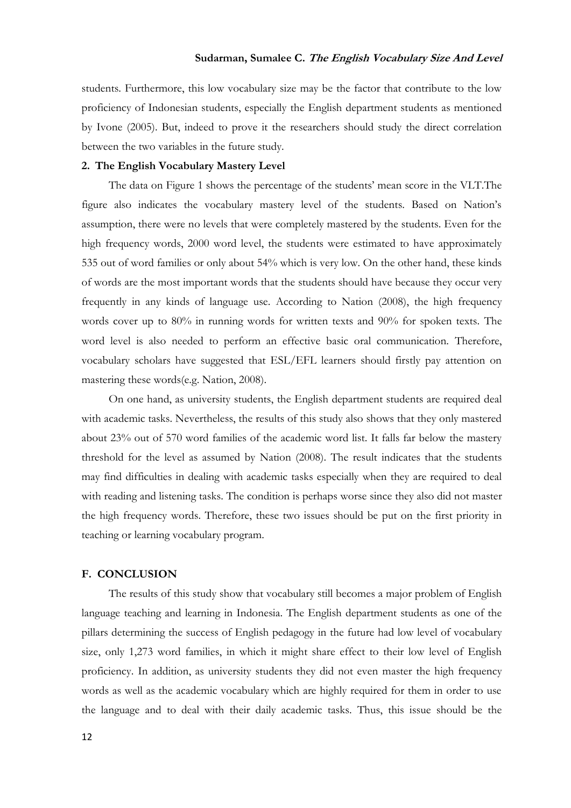# **Sudarman, Sumalee C. The English Vocabulary Size And Level**

students. Furthermore, this low vocabulary size may be the factor that contribute to the low proficiency of Indonesian students, especially the English department students as mentioned by [Ivone \(2005\).](#page-12-2) But, indeed to prove it the researchers should study the direct correlation between the two variables in the future study.

# **2. The English Vocabulary Mastery Level**

The data on Figure 1 shows the percentage of the students' mean score in the VLT. The figure also indicates the vocabulary mastery level of the students. Based on Nation"s assumption, there were no levels that were completely mastered by the students. Even for the high frequency words, 2000 word level, the students were estimated to have approximately 535 out of word families or only about 54% which is very low. On the other hand, these kinds of words are the most important words that the students should have because they occur very frequently in any kinds of language use. According to [Nation \(2008\),](#page-13-7) the high frequency words cover up to 80% in running words for written texts and 90% for spoken texts. The word level is also needed to perform an effective basic oral communication. Therefore, vocabulary scholars have suggested that ESL/EFL learners should firstly pay attention on mastering these words[\(e.g. Nation, 2008\)](#page-13-7).

On one hand, as university students, the English department students are required deal with academic tasks. Nevertheless, the results of this study also shows that they only mastered about 23% out of 570 word families of the academic word list. It falls far below the mastery threshold for the level as assumed by [Nation \(2008\).](#page-13-7) The result indicates that the students may find difficulties in dealing with academic tasks especially when they are required to deal with reading and listening tasks. The condition is perhaps worse since they also did not master the high frequency words. Therefore, these two issues should be put on the first priority in teaching or learning vocabulary program.

### **F. CONCLUSION**

The results of this study show that vocabulary still becomes a major problem of English language teaching and learning in Indonesia. The English department students as one of the pillars determining the success of English pedagogy in the future had low level of vocabulary size, only 1,273 word families, in which it might share effect to their low level of English proficiency. In addition, as university students they did not even master the high frequency words as well as the academic vocabulary which are highly required for them in order to use the language and to deal with their daily academic tasks. Thus, this issue should be the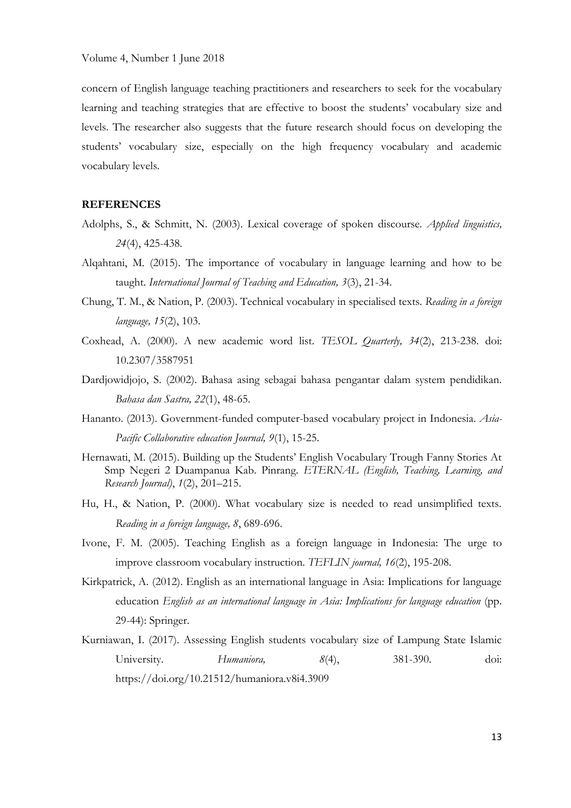concern of English language teaching practitioners and researchers to seek for the vocabulary learning and teaching strategies that are effective to boost the students' vocabulary size and levels. The researcher also suggests that the future research should focus on developing the students" vocabulary size, especially on the high frequency vocabulary and academic vocabulary levels.

# **REFERENCES**

- <span id="page-12-5"></span>Adolphs, S., & Schmitt, N. (2003). Lexical coverage of spoken discourse. *Applied linguistics, 24*(4), 425-438.
- <span id="page-12-4"></span>Alqahtani, M. (2015). The importance of vocabulary in language learning and how to be taught. *International Journal of Teaching and Education, 3*(3), 21-34.
- <span id="page-12-8"></span>Chung, T. M., & Nation, P. (2003). Technical vocabulary in specialised texts. *Reading in a foreign language, 15*(2), 103.
- <span id="page-12-7"></span>Coxhead, A. (2000). A new academic word list. *TESOL Quarterly, 34*(2), 213-238. doi: 10.2307/3587951
- <span id="page-12-0"></span>Dardjowidjojo, S. (2002). Bahasa asing sebagai bahasa pengantar dalam system pendidikan. *Bahasa dan Sastra, 22*(1), 48-65.
- <span id="page-12-3"></span>Hananto. (2013). Government-funded computer-based vocabulary project in Indonesia. *Asia-Pacific Collaborative education Journal, 9*(1), 15-25.
- <span id="page-12-9"></span>Hernawati, M. (2015). Building up the Students" English Vocabulary Trough Fanny Stories At Smp Negeri 2 Duampanua Kab. Pinrang. *ETERNAL (English, Teaching, Learning, and Research Journal)*, *1*(2), 201–215.
- Hu, H., & Nation, P. (2000). What vocabulary size is needed to read unsimplified texts. *Reading in a foreign language, 8*, 689-696.
- <span id="page-12-2"></span>Ivone, F. M. (2005). Teaching English as a foreign language in Indonesia: The urge to improve classroom vocabulary instruction. *TEFLIN journal, 16*(2), 195-208.
- <span id="page-12-1"></span>Kirkpatrick, A. (2012). English as an international language in Asia: Implications for language education *English as an international language in Asia: Implications for language education* (pp. 29-44): Springer.
- <span id="page-12-6"></span>Kurniawan, I. (2017). Assessing English students vocabulary size of Lampung State Islamic University. *Humaniora, 8*(4), 381-390. doi: https://doi.org/10.21512/humaniora.v8i4.3909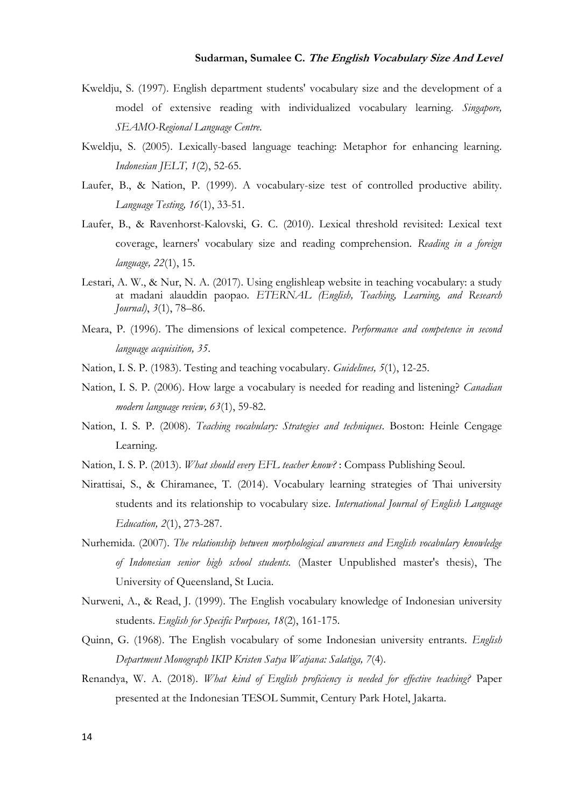# **Sudarman, Sumalee C. The English Vocabulary Size And Level**

- <span id="page-13-1"></span>Kweldju, S. (1997). English department students' vocabulary size and the development of a model of extensive reading with individualized vocabulary learning. *Singapore, SEAMO-Regional Language Centre*.
- <span id="page-13-4"></span>Kweldju, S. (2005). Lexically-based language teaching: Metaphor for enhancing learning. *Indonesian JELT, 1*(2), 52-65.
- <span id="page-13-9"></span>Laufer, B., & Nation, P. (1999). A vocabulary-size test of controlled productive ability. *Language Testing, 16*(1), 33-51.
- <span id="page-13-10"></span>Laufer, B., & Ravenhorst-Kalovski, G. C. (2010). Lexical threshold revisited: Lexical text coverage, learners' vocabulary size and reading comprehension. *Reading in a foreign language, 22*(1), 15.
- <span id="page-13-12"></span>Lestari, A. W., & Nur, N. A. (2017). Using englishleap website in teaching vocabulary: a study at madani alauddin paopao. *ETERNAL (English, Teaching, Learning, and Research Journal)*, *3*(1), 78–86.
- Meara, P. (1996). The dimensions of lexical competence. *Performance and competence in second language acquisition, 35*.
- <span id="page-13-13"></span>Nation, I. S. P. (1983). Testing and teaching vocabulary. *Guidelines, 5*(1), 12-25.
- <span id="page-13-5"></span>Nation, I. S. P. (2006). How large a vocabulary is needed for reading and listening? *Canadian modern language review, 63*(1), 59-82.
- <span id="page-13-7"></span>Nation, I. S. P. (2008). *Teaching vocabulary: Strategies and techniques*. Boston: Heinle Cengage Learning.
- <span id="page-13-8"></span>Nation, I. S. P. (2013). *What should every EFL teacher know?* : Compass Publishing Seoul.
- <span id="page-13-11"></span>Nirattisai, S., & Chiramanee, T. (2014). Vocabulary learning strategies of Thai university students and its relationship to vocabulary size. *International Journal of English Language Education, 2*(1), 273-287.
- <span id="page-13-6"></span>Nurhemida. (2007). *The relationship between morphological awareness and English vocabulary knowledge of Indonesian senior high school students.* (Master Unpublished master's thesis), The University of Queensland, St Lucia.
- <span id="page-13-2"></span>Nurweni, A., & Read, J. (1999). The English vocabulary knowledge of Indonesian university students. *English for Specific Purposes, 18*(2), 161-175.
- <span id="page-13-3"></span>Quinn, G. (1968). The English vocabulary of some Indonesian university entrants. *English Department Monograph IKIP Kristen Satya Watjana: Salatiga, 7*(4).
- <span id="page-13-0"></span>Renandya, W. A. (2018). *What kind of English proficiency is needed for effective teaching?* Paper presented at the Indonesian TESOL Summit, Century Park Hotel, Jakarta.